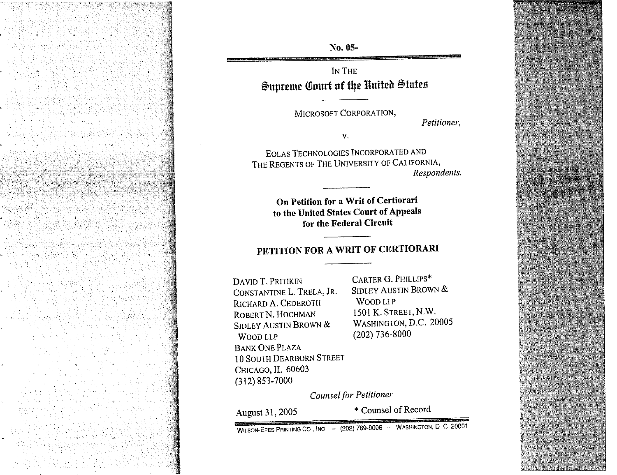

No. 05-

**IN THE** Supreme Court of the United States

MICROSOFT CORPORATION,

*Petitioner,* 

 $V_{\star}$ 

EOLAS TECHNOLOGIES INCORPORATED AND THE REGENTS OF THE UNIVERSITY OF CALIFORNIA, *Respondents.* 

> **On Petition for a Writ of Certiorari to the United States Court of Appeals for the Federal Circuit**

## **PETITION FOR A WRIT OF CERTIORARI**

DAVID T. PRITIKIN CARTER G. PHILLIPS\* CONSTANTME L. TRELA, JR. SIDLEY AUSTIN BROWN & RICHARD A. CEDEROTH WOOD LLP<br>
ROBERT N. HOCHMAN
1501 K. STREET, N.W. ROBERT N. HOCHMAN 1501 K. STREET, N.W.<br>Sidi ey Alistin Brown & Washington, D.C. 20005 SIDLEY AUSTIN BROWN & WOOD LLP (202) 736-8000 BANK ONE PLAZA 10 SOUTH DEARBORN STREET CHICAGO, IL 60603 (3 12) 853-7000

*Counsel for Petitioner-* 

August 31, 2005

\* Counsel of Record

WILSON-EPES PRINTING CO, INC - (202) 789-0096 - WASHINGTON, D. C. 20001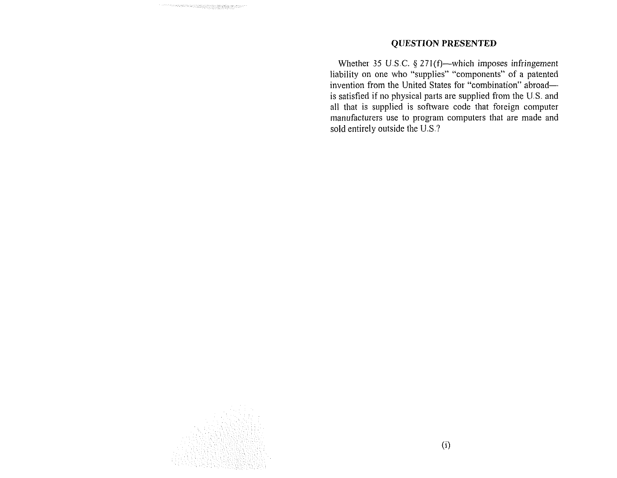#### **QUESTION PRESENTED**

Whether 35 U.S.C. § 271(f)--which imposes infringement liability on one who "supplies" "components" of a patented invention from the United States for "combination" abroadis satisfied if no physical parts are supplied from the U.S. and all that is supplied is software code that foreign computer manufacturers use to program computers that are made and sold entirely outside the U.S ?

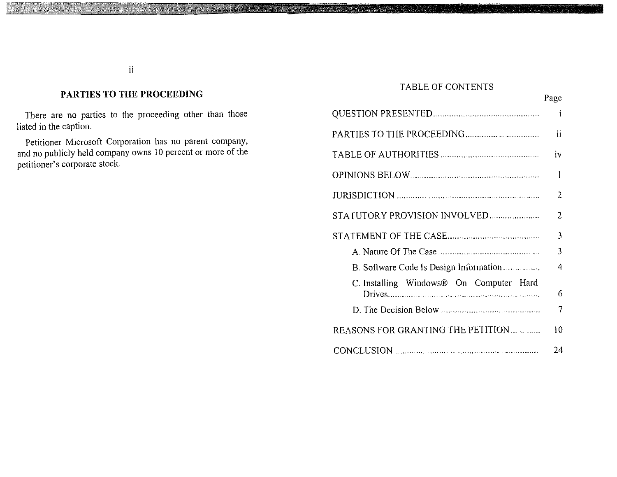### **PARTIES TO THE PROCEEDING**

There are no parties to the proceeding other than those listed in the caption.

Petitioner Microsoft Corporation has no parent company, and no publicly held company owns 10 percent or more of the petitioner's corporate stock

### TABLE OF CONTENTS

|                                         | Page                    |
|-----------------------------------------|-------------------------|
|                                         | $\mathbf{i}$            |
|                                         | ii                      |
|                                         | iv                      |
| OPINIONS BELOW                          | 1                       |
| JURISDICTION                            | 2                       |
| STATUTORY PROVISION INVOLVED            | 2                       |
|                                         | $\overline{3}$          |
|                                         | $\overline{\mathbf{3}}$ |
| B. Software Code Is Design Information  | 4                       |
| C. Installing Windows® On Computer Hard | 6                       |
|                                         | 7                       |
| REASONS FOR GRANTING THE PETITION       | 10                      |
|                                         | 24                      |

 $\ddot{\rm n}$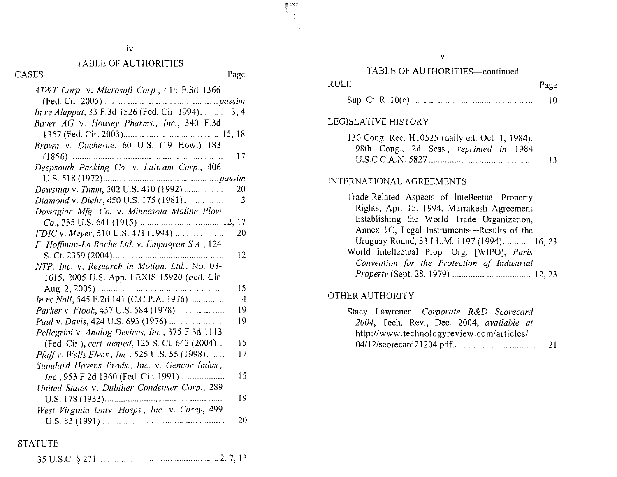### TABLE OF AUTHORITIES

CASES

| SES                                               | Page           |
|---------------------------------------------------|----------------|
| AT&T Corp. v. Microsoft Corp., 414 F.3d 1366      |                |
|                                                   |                |
| In re Alappat, 33 F.3d 1526 (Fed. Cir. 1994).     | 3, 4           |
| Bayer AG v. Housey Pharms., Inc., 340 F.3d        |                |
|                                                   |                |
| Brown v. Duchesne, 60 U.S. (19 How.) 183          |                |
|                                                   | 17             |
| Deepsouth Packing Co. v. Laitram Corp., 406       |                |
|                                                   |                |
| Dewsnup v. Timm, 502 U.S. 410 (1992)              | 20             |
| Diamond v. Diehr, 450 U.S. 175 (1981)             | 3              |
| Dowagiac Mfg. Co. v. Minnesota Moline Plow        |                |
|                                                   |                |
| FDIC v. Meyer, 510 U.S. 471 (1994).               | 20             |
| F. Hoffman-La Roche Ltd. v. Empagran S.A., 124    |                |
|                                                   | 12             |
| NTP, Inc. v. Research in Motion, Ltd., No. 03-    |                |
| 1615, 2005 U.S. App. LEXIS 15920 (Fed. Cir.       |                |
| Aug. 2, 2005) $\frac{1}{2}$                       | 15             |
| In re Noll, 545 F.2d 141 (C.C.P.A. 1976)          | $\overline{4}$ |
| Parker v. Flook, 437 U.S. 584 (1978)              | 19             |
|                                                   | 19             |
| Pellegrini v. Analog Devices, Inc., 375 F.3d 1113 |                |
| (Fed. Cir.), cert. denied, 125 S. Ct. 642 (2004)  | 15             |
| Pfaff v. Wells Elecs., Inc., 525 U.S. 55 (1998)   | 17             |
| Standard Havens Prods., Inc. v. Gencor Indus.,    |                |
| $Inc.$ , 953 F.2d 1360 (Fed. Cir. 1991)           | 15             |
| United States v. Dubilier Condenser Corp., 289    |                |
|                                                   | 19             |
| West Virginia Univ. Hosps., Inc. v. Casey, 499    |                |
|                                                   | 20             |

| TABLE OF AUTHORITIES—continued                                                                                                                                                           |         |
|------------------------------------------------------------------------------------------------------------------------------------------------------------------------------------------|---------|
| <b>RULE</b>                                                                                                                                                                              | Page    |
| Sup. Ct. R. 10(c)                                                                                                                                                                        | 10      |
| LEGISLATIVE HISTORY                                                                                                                                                                      |         |
| 130 Cong. Rec. H10525 (daily ed. Oct. 1, 1984),<br>98th Cong., 2d Sess., reprinted in 1984                                                                                               | 13.     |
| INTERNATIONAL AGREEMENTS                                                                                                                                                                 |         |
| Trade-Related Aspects of Intellectual Property<br>Rights, Apr. 15, 1994, Marrakesh Agreement<br>Establishing the World Trade Organization,<br>Annex IC, Legal Instruments—Results of the |         |
| Uruouav Round 3311 M 1107(1994)                                                                                                                                                          | 16. 23. |

### $\mathbf{I}$

| Trade-Related Aspects of Intellectual Property |
|------------------------------------------------|
| Rights, Apr. 15, 1994, Marrakesh Agreement     |
| Establishing the World Trade Organization,     |
| Annex IC, Legal Instruments—Results of the     |
| Uruguay Round, 33 I.L.M. 1197 (1994) 16, 23    |
| World Intellectual Prop. Org. [WIPO], Paris    |
| Convention for the Protection of Industrial    |
|                                                |
|                                                |

## OTHER AUTHORITY

**WEB** 

|  |  | Stacy Lawrence, Corporate R&D Scorecard   |     |
|--|--|-------------------------------------------|-----|
|  |  | 2004, Tech. Rev., Dec. 2004, available at |     |
|  |  | http://www.technologyreview.com/articles/ |     |
|  |  |                                           | -21 |

**STATUTE** 

 $\bar{v}$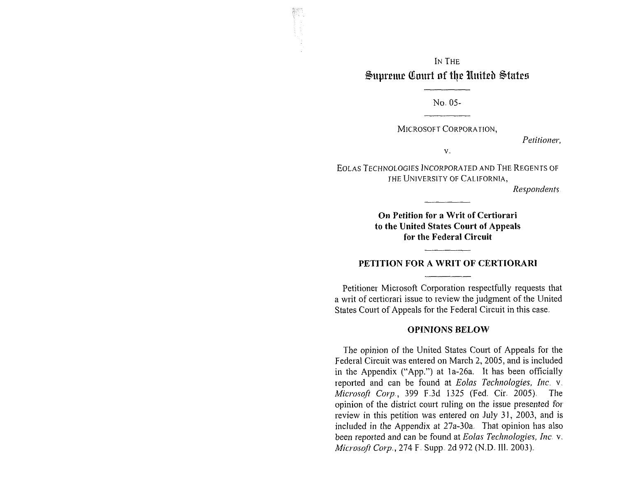### IN THE Supreme Court of the United States

No. 05-

MICROSOFT CORPORATION,

Petitioner.

 $V_{\alpha}$ 

EOLAS TECHNOLOGIES INCORPORATED AND THE REGENTS OF THE UNIVERSITY OF CALIFORNIA,

*Respondents* 

**On Petition for a Writ of Certiorari to the United States Court of Appeals for the Federal Circuit** 

#### **PETITION FOR A WRIT OF CERTIORARI**

Petitioner Microsoft Corporation respectfully requests that a writ of certiorari issue to review the judgment of the United States Court of Appeals for the Federal Circuit in this case.

#### **OPINIONS BELOW**

The opinion of the United States Court of Appeals for the Federal Circuit was entered on March 2, 2005, and is included in the Appendix ("App.") at la-26a. It has been officially reported and can be found at *Eolas Technologies, Inc.* v. *Micvosoji Carp.,* 399 F.3d 1325 (Fed. Cir. 2005) The opinion of the district court ruling on the issue presented for. review in this petition was entered on July 31, 2003, and is included in the Appendix at  $27a-30a$ . That opinion has also been reported and can be found at *Eolas Technologies, Inc.*  $v$ . *Min-osqfr Cop,* 274 F. Supp. 2d 972 (N.D. Ill. 2003).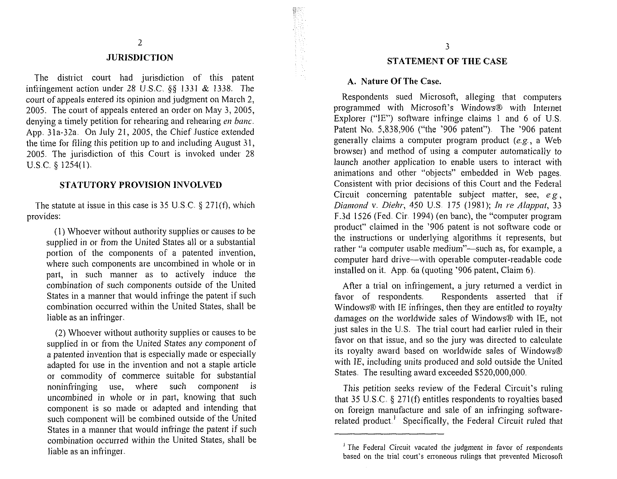#### JURISDICTION

The district court had jurisdiction of this patent infringement action under 28 U.S.C, **\$5** 1331 & 1.338. The court of appeals entered its opinion and judgment on March 2, 2005. The court of appeals entered an order on May 3, 2005, denying a timely petition for rehearing and rehearing *en banc*. App. 31a-32a. On July 21, 2005, the Chief Justice extended the time for filing this petition up to and including August 31, 2005. The jurisdiction of this Court is invoked under 28 U.S.C. **5** 1254(1).

#### STATUTORY PROVISION INVOLVED

The statute at issue in this case is 35 U.S.C. **Q:** 271(f), which provides:

(1) Whoever without authority supplies or causes to be supplied in or from the United States all or a substantial portion of the components of a patented invention, where such components are uncombined in whole or in part, in such manner as to actively induce the combination of such components outside of the United States in a manner that would infringe the patent if such combination occurred within the United States, shall be liable as an infringer.

(2) Whoever without authority supplies or causes to be supplied in or from the United States any component of a patented invention that is especially made or especially adapted for use in the invention and not a staple article or cominodity of commerce suitable for substantial noninfringing use, where such component is uncombined in whole or in part, knowing that such component is so made or adapted and intending that such component will be combined outside of the United States in a manner that would infringe the patent if such combination occurred within the United States, shall be liable as an infringer.

#### STATEMENT OF THE CASE

#### A. Nature OFThe Case.

Respondents sued Microsoft, alleging that computers programmed with Microsoft's Windows@ with internet Explorer ("IE") software infringe claims 1 and 6 of U.S. Patent No. 5,838,906 ("the '906 patent"). The '906 patent generally claims a computer program product  $(e.g., a Web)$ browser) and method of using a computer automatically to launch another application to enable users to interact with animations and other "objects" embedded in Web pages. Consistent with prior decisions of this Court and the Federal Circuit concerning patentable subject matter, see, *e.g, Diamond v. Diehr, 450 U.S. 175 (1981); In re Alappat, 33* F.3d 1526 (Fed. Cir. 1994) (en banc), the "computer program product" claimed in the '906 patent is not software code or the instructions or underlying algorithms it represents, but rather "a computer usable medium"—such as, for example, a computer hard drive-with operable computer-readable code installed on it. App. 6a (quoting '906 patent, Claim  $6$ ).

After a trial on infringement, a jury returned a verdict in favor of respondents. Respondents asserted that if Windows@ with IE infringes, then they are entitled to royalty damages on the worldwide sales of Windows® with IE, not just sales in the U.S. The trial court had earlier ruled in their favor on that issue, and so the jury was directed to calculate its royalty award based on worldwide sales of Windows® with IE, including units produced and sold outside the United States. The resulting award exceeded \$520,000,000.

This petition seeks review of the Federal Circuit's ruling that 35 U.S.C.  $\S$  271(f) entitles respondents to royalties based on foreign manufacture and sale of an infringing softwarerelated product.<sup>1</sup> Specifically, the Federal Circuit ruled that

<sup>&</sup>lt;sup> $\frac{1}{2}$ </sup> The Federal Circuit vacated the judgment in favor of respondents based on the trial court's erroneous rulings that prevented Microsoft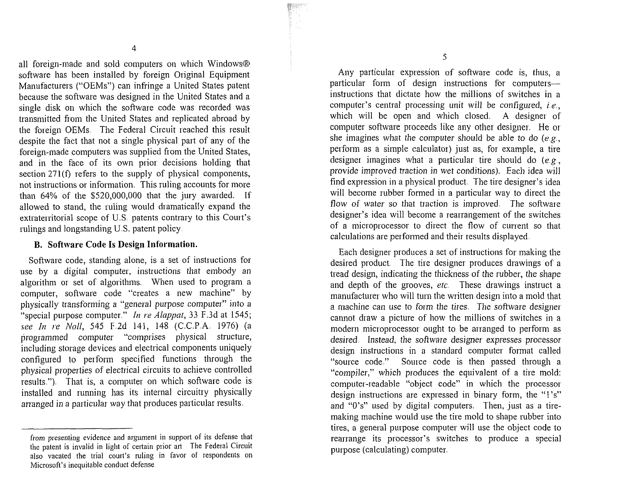all foreign-made and sold computers on which Windows® software has been installed by foreign Original Equipment Manufacturers ("OEMs") can infringe a United States patent because the software was designed in the United States and a single disk on which the software code was recorded was transmitted from the United States and replicated abroad by the foreign OEMs. The Federal Circuit reached this result despite the fact that not a single physical part of any of the foreign-made computers was supplied from the United States, and in the face of its own prior decisions holding that section 271(f) refers to the supply of physical components, not instructions or information. This ruling accounts for more than 64% of the \$520,000,000 that the jury awarded. If allowed to stand, the ruling would dramatically expand the extraterritorial scope of U.S. patents contrary to this Court's rulings and longstanding U.S. patent policy.

#### **B. Software Code Is Design Information.**

Software code, standing alone, is a set of instructions for use by a digital computer, instructions that embody an algorithm or set of algorithms. When used to program a computer, software code "creates a new machine" by physically transforming a "general purpose computer" into a "special purpose computer." In re Alappat, 33 F.3d at 1545; see In re Noll, 545 F.2d 141, 148 (C.C.P.A. 1976) (a programmed computer "comprises physical structure, including storage devices and electrical components uniquely configured to perform specified functions through the physical properties of electrical circuits to achieve controlled results."). That is, a computer on which software code is installed and running has its internal circuitry physically arranged in a particular way that produces particular results.

Any particular expression of software code is, thus, a particular form of design instructions for computersinstructions that dictate how the millions of switches in a computer's central processing unit will be configured, *i.e.,*  which will be open and which closed. A designer of computer software proceeds lilte any other designer. He or she imagines what the computer should be able to do *(eg.,*  perform as a simple calculator) just as, for example, a tire designer imagines what a particular tire should do *(e* <sup>g</sup>, provide improved traction in wet conditions). Each idea will find expression in a physical product. The tire designer's idea will become rubber formed in a particular way to direct the flow of water so that traction is improved. The software designer's idea will become a rearrangement of the switches of a microprocessor to direct the flow of current so that calculations are performed and their results displayed.

Each designer produces a set of instructions for making the desired product. The tire designer produces drawings of a tread design, indicating the thickness of the rubber, the shape and depth of the grooves, *etc.* These drawings instruct a manufacturer who will turn the written design into a mold that a machine can use to form the tires. The software designer cannot draw a picture of how the millions of switches in a modern microprocessor ought to be arranged to perform as desired. Instead, the software designer expresses processor design instructions in a standard computer format called "source code." Source code is then passed through a "compiler," which produces the equivalent of a tire mold: computer-readable "object code" in which the processor design instructions are expressed in binary form, the "1's" and "0's" used by digital computers. Then, just as a tiremaking machine would use the tire mold to shape rubber into tires, a general purpose computer will use the object code to rearrange its processor's switches to produce a special purpose (calculating) computer.

from presenting evidence and argument in support of its defense that the patent is invalid in light of certain prior art The Federal Circuit also vacated the trial court's ruling in favor of respondents on Microsoft's inequitable conduct defense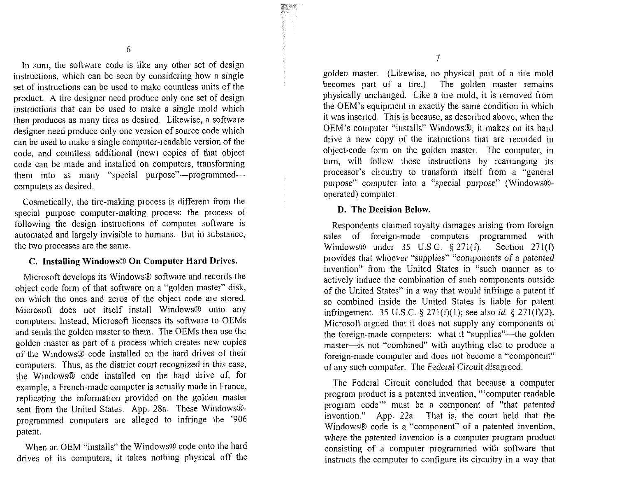In sum, the software code is like any other set of design instructions, which can be seen by considering how a single set of instructions can be used to male countless units of the product. A tire designer need prodnce only one set of design instructions that can be used to make a single mold which then produces as many tires as desired. Likewise, a software designer need produce only one version of source code which can be used to make a single computer-readable version of the code, and countless additional (new) copies of that object code can be made and installed on computers, transforming them into as many "special purpose"-programmedcomputers as desired.

Cosmetically, the tire-making process is different from the special purpose computer-making process: the process of following the design instructions of computer software is automated and largely invisible to humans. But in substance, the two processes are the same.

#### **C.** Installing Windows@ On Computer Hard Drives.

Microsoft develops its Windows@ software and records the object code form of that software on a "golden master" disk, on which the ones and zeros of the object code are stored. Microsoft does not itself install Windows $\circledR$  onto any computers. Instead, Microsoft licenses its software to OEMs and sends the golden master to them. The OEMs then use the golden master as part of a process which creates new copies of the Windows® code installed on the hard drives of their computers. Thus, as the district court recognized in this case, the Windows@ code installed on the hard drive of, for example, a French-made computer is actually made in France, replicating the information provided on the golden master sent from the United States. App. 28a. These Windows@ programmed computers are alleged to infringe the '906 patent.

When an OEM "installs" the Windows® code onto the hard drives of its computers, it takes nothing physical off the  $\overline{7}$ 

golden master. (L.ikewise, no physical pat of a tire mold becomes part of a tire.) The golden master remains physically unchanged. Like a tire mold, it is removed from the OEM's equipment in exactly the same condition in which it was inserted. This is because, as described above, when the OEM's computer "installs" Windows®, it makes on its hard drive a new copy of the instructions that are recorded in object-code form on the golden master. The computer, in turn, will follow those instructions by rearranging its processor's circuitry to transform itself from a "general purpose" computer into a "special purpose" (Windows®operated) computer.

#### D. The Decision Below.

Respondents claimed royalty damages arising from foreign sales of foreign-made computers programmed with Windows@ under. 35 LI.SC. *5* 271(f). Section 271(f) provides that whoever "supplies" "components of a patented invention" from the United States in "such manner as to actively induce the combination of such components outside of the United States" in a way that would infringe a patent if so combined inside the United States is liable for patent infringement. 35 U.S.C. § 271(f)(1); see also id. § 271(f)(2). Microsoft argued that it does not supply any components of the foreign-made computers: what it "supplies"—the golden master-is not "combined" with anything else to produce a foreign-made computer and does not become a "component" of any such computer. The Federal Circuit disagreed.

The Federal Circuit concluded that because a computer program product is a patented invention, "'computer readable program code" must be a component of "that patented invention." App. 22a. That is, the court held that the Windows® code is a "component" of a patented invention, where the patented invention is a computer program product consisting of a computer programmed with software that instructs the computer to configure its circuitry in a way that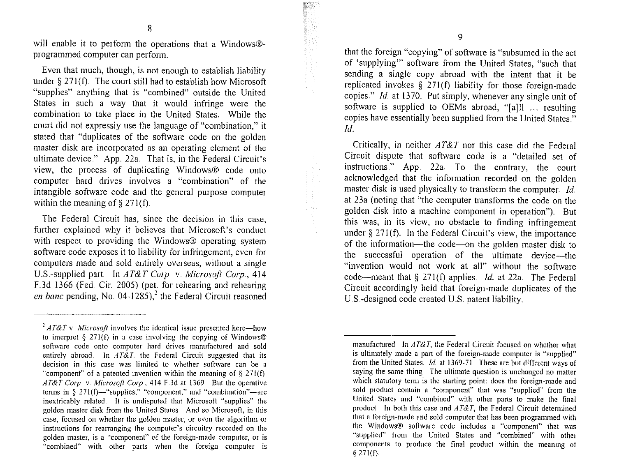will enable it to perform the operations that a Windows®programmed computer can perform.

Even that much, though, is not enough to establish liability under  $\delta$  271(f). The court still had to establish how Microsoft "supplies" anything that is "combined" outside the United States in such a way that it would infringe were the combination to take place in the United States. While the court did not expressly use the language of "combination," it stated that "duplicates of the software code on the golden master disk are incorporated as an operating element of the ultimate device." App. 22a. That is, in the Federal Circuit's view, the process of duplicating Windows@ code onto computer hard drives involves a "combination" of the intangible software code and the general purpose computer within the meaning of  $\S$  271(f).

The Federal Circuit has, since the decision in this case, further explained why it believes that Microsoft's conduct with respect to providing the Windows® operating system software code exposes it to liability for infringement, even for computers made and sold entirely overseas, without a single U.S.-supplied part. In *AT&T Corp.* v. *Microsoft Corp.*, 414 F.3d 1366 (Fed. Cir. 2005) (pet. for rehearing and rehearing *en banc* pending, No. 04-1285),<sup>2</sup> the Federal Circuit reasoned

that the foreign "copying" of software is "subsurned in the act of 'supplying"' software from the United States, "such that sending a single copy abroad with the intent that it be replicated involtes  $\S$  271(f) liability for those foreign-made copies." Id at 1370. Put simply, whenever any single unit of software is supplied to OEMs abroad, "[a]ll ... resulting copies have essentially been supplied from the United States." *Id.* 

Critically, in neither *AT&T* nor this case did the Federal Circuit dispute that software code is a "detailed set of instructions." App. 22a. To the contrary, the court acknowledged that the information recorded on the golden master disk is used physically to transform the computer.  $Id$ at 23a (noting that "the computer transforms the code on the golden disk into a machine component in operation"). But this was, in its view, no obstacle to finding infringement under  $§$  271(f). In the Federal Circuit's view, the importance of the information—the code—on the golden master disk to the successful operation of the ultimate device-the "invention would not work at all" without the software code—meant that  $\S 271(f)$  applies. *Id.* at 22a. The Federal Circuit accordingly held that foreign-made duplicates of the US.-designed code created U.S. patent liability.

<sup>&</sup>lt;sup>2</sup>  $AT\&T$  v *Microsoft* involves the identical issue presented here—how to interpret  $\S$  271(f) in a case involving the copying of Windows<sup>®</sup> software code onto computer hard drives manufactured and sold entirely abroad. In *AT&T*, the Federal Circuit suggested that its decision in this case was limited to whether software can be a "component" of a patented invention within the meaning of  $\S$  271(f). *AT&T Corp* v *Microsoft Corp*, 414 F 3d at 1369. But the operative terms in  $\frac{8}{3}$  271(f)-"supplies," "component," and "combination"-are inextricably related. It is undisputed that Microsoft "supplies" the golden master disk lrom the United States And so Microsoft, in this case, focused on whether the golden master, or even the algorithm or instructions for rearranging the computer's circuitry recorded on the golden master, is a "component" of the foreign-made computer, or is "combined" with other parts when the l'oreign computer is

manufactured In  $AT\&T$ , the Federal Circuit focused on whether what is ultimately made a part of the foreign-made computer is "supplied" from the United States *Id.* at 1369-71. These are but different ways of saying the same thing. The ultimate question is unchanged no matter which statutory term is the starting point: does the foreign-made and sold product contain a "component" that was "supplied" from the United States and "combined" with other parts to make the final product In both this case and *AT&T,* the Federal Circuit determined that a foreign-made and sold computer that has been programmed with the Windows@ software code includes a "component" that was "supplied" from the United States and "combined" with other components to produce the final product within the meaning of *5* 271(f).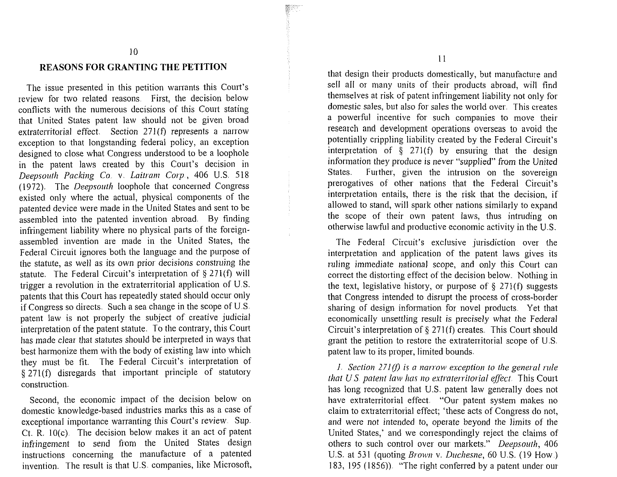#### **REASONS FOR GRANTING THE PETITION**

The issue presented in this petition warrants this Court's review for two related reasons First, the decision below conflicts with the numerous decisions of this Court stating that United States patent law should not be given broad extraterritorial effect. Section 271(f) represents a narrow exception to that longstanding federal policy, an exception designed to close what Congress understood to be a loophole in the patent laws created by this Court's decision in *Deepsouth Packing Co. v. Laitram Corp.*, 406 U.S. 518 (1972). The *Deepsorrtll* loophole that concerned Congress existed only where the actual, physical components of the patented device were made in the United States and sent to be assembled into the patented invention abroad. By finding infringement liability where no physical parts of the foreignassembled invention are made in the United States, the Federal Circuit ignores both the language and the purpose of the statute, as well as its own prior decisions construing the statute. The Federal Circuit's interpretation of *5* 271(f) will trigger a revolution in the extraterritorial application of U.S. patents that this Court has repeatedly stated should occur only if Congress so directs. Such a sea change in the scope of U.S. patent law is not properly the subject of creative judicial interpretation of the patent statute. To the contrary, this Court has made clear that statutes should be interpreted in ways that best harmonize them with the body of existing law into which they must be fit. The Federal Circuit's interpretation of § 271(f) disregards that important principle of statutory construction.

Second, the economic impact of the decision below on domestic knowledge-based industries marks this as a case of exceptional importance warranting this Court's review. Sup. Ct. R.  $10(c)$ . The decision below makes it an act of patent infringement to send from the United States design instructions concerning the manufacture of a patented invention. The result is that U.S. companies, like Microsoft,

 $11$ 

that design their products domestically, but manufacture and sell all or many units of their products abroad, will find themselves at risk of patent infringement liability not only for domestic sales, but also for sales the world over. This creates a powerful incentive for such companies to move their research and development operations overseas to avoid the potentially crippling liability created by the Federal Circuit's interpretation of  $\S$  271(f) by ensuring that the design information they produce is never "supplied" from the United States. Further, given the intrusion on the sovereign prerogatives of other nations that the Federal Circuit's interpretation entails, there is the risk that the decision, if allowed to stand, will spark other nations similarly to expand the scope of their own patent laws, thus intruding on otherwise lawful and productive economic activity in the U.S.

The Federal Circuit's exclusive jurisdiction over the interpretation and application of the patent laws gives its ruling immediate national scope, and only this Court can correct the distorting effect of the decision below. Nothing in the text, legislative history, or purpose of *5* 271(f) suggests that Congress intended to disrupt the process of cross-border sharing of design information for novel products. Yet that economically unsettling result is precisely what the Federal Circuit's interpretation of  $\S 271(f)$  creates. This Court should grant the petition to restore the extraterritorial scope of U.S. patent law to its proper, limited bounds.

*I.* Section 271(f) is a narrow exception to the general rule *that U.S. patent law has no extraterritorial effect.* This Court has long recognized that U.S. patent law generally does not have extraterritorial effect. "Our patent system makes no claim to extraterritorial effect; 'these acts of Congress do not, and were not intended to, operate beyond the limits of the United States,' and we correspondingly reject the claims of others to such control over our markets." *Deepsouth*, 406 U.S. at 531 (quoting *Brown v. Duchesne*, 60 U.S. (19 How.) 183, 195 (1856)). "The right conferred by a patent under our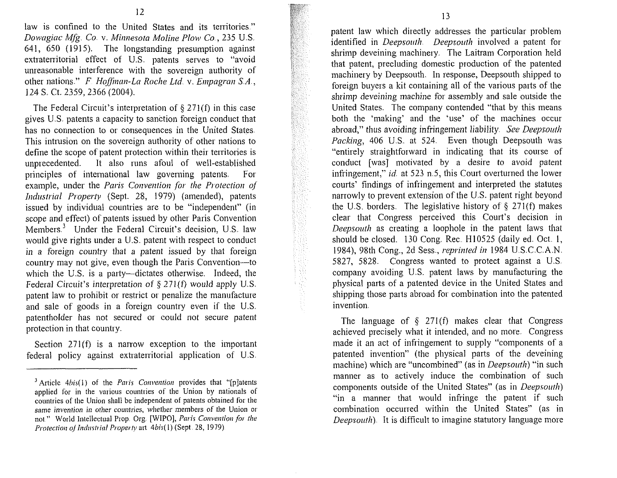*law is confined to the United States and its territories" Dowagiac Mfg, Co. v. Minnesota Moline Plow Co., 235 U.S. 641, 650 (1915). The longstanding presumption against extratenitorial effect of US. patents serves to "avoid*  unreasonable interference with the sovereign authority of *other nations." F. Hoffman-La Roche Ltd. v. Empagran S.A., 124 S. Ct. 2359,2366 (2004).* 

*The Federal Circuit's interpretation of 5 271(f) in this case*  gives U.S. patents a capacity to sanction foreign conduct that has no connection to or consequences in the United States. This intrusion on the sovereign authority of other nations to *define the scope of patent protection within their territories is unprecedented. It also runs afoul of well-established principles of international law governing patents.* For example, under the *Paris Convention for the Protection of Industrial Property* (Sept. 28, 1979) (amended), patents *issued by individual countries are to be "independent" (in scope and effect) of patents issued by other Paris Convention Members.<sup>3</sup>* Under the Federal Circuit's decision, U.S. law *would give rights under a U.S. patent with respect to conduct in a foreign country that a patent issued by that foreign country may not give, even though the Paris Convention-to* which the U.S. is a party-dictates otherwise. Indeed, the *Federal Circuit's interpretation of § 271(f) would apply U.S. patent law to prohibit or restrict or penalize the manufacture and sale of goods in a foreign country even if the U.S.*  patentholder has not secured or could not secure patent *protection in that country* 

*Section 271(f)* is a narrow exception to the important *federal policy against extraterritorial application of U.S.*  <sub>—</sub>

*patent law which directly addresses the particular problem identified in Deepsouth. Deepsouth involved a patent for shrimp deveining machinery. The Laitram Corporation held*  that patent, precluding domestic production of the patented *~nachinery by Deepsouth. In response, Deepsouth shipped to foreign buyers a kit containing all of the various parts of the shrimp deveining machine for assembly and sale outside the United States. The company contended "that by this means both the 'malting' and the 'use' of the machines occur abroad,"* thus *avoiding infringement liability. See Deepsouth Packing*, 406 U.S. at 524. Even though Deepsouth was *"entirely straightforward in indicating that its course of conduct* [was] motivated by a desire to avoid patent *infringement," id. at 523 n.5, this Court overturned the lower courts'* findings of infringement and interpreted the statutes *narrowly to prevent extension of the U.S. patent right beyond the U.S, borders. The legislative history of* **8** *271(f) maltes clear that Congress perceived this Court's decision in Deepsouth* as creating a loophole in the patent laws that *should be closed. 130 Cong. Rec. HI0525 (daily ed. Oct. 1, 1984), 98th Cong., 2d Sess., reprinted iri 1984 IJ.S.CC.A.N. 5827, 5828. Congress wanted to protect against a U.S. company avoiding U.S. patent laws by manufacturing the physical pats of a patented device in the United States and shipping those parts abroad for combination into the patented invention.* 

*The language of § 271(f) makes clear that Congress achieved precisely what it intended, and no more. Congress made it* an *act of infringement to supply "components of a patented invention" (the physical parts of the deveining machine)* which are "uncombined" (as in *Deepsouth*) "in such *manner as to actively induce the combination of such components outside of the United States" (as in Deepsouth) "in a manner that would infringe the patent if such cornbinatioll occurred within the United States" (as in Deepsouth*). It is difficult to imagine statutory language more

 $<sup>3</sup>$  Article 4bis(1) of the Paris Convention provides that "[p]atents</sup> applied for in the various countries of the Union by nationals of countries of the Union shall be independent of patents obtained for the same invention in other countries, whether members of the Union or not." World Intellectual Prop. Org. [WIPO], Paris Convention for the Protection of Industrial Property art. 4bis(1) (Sept. 28, 1979).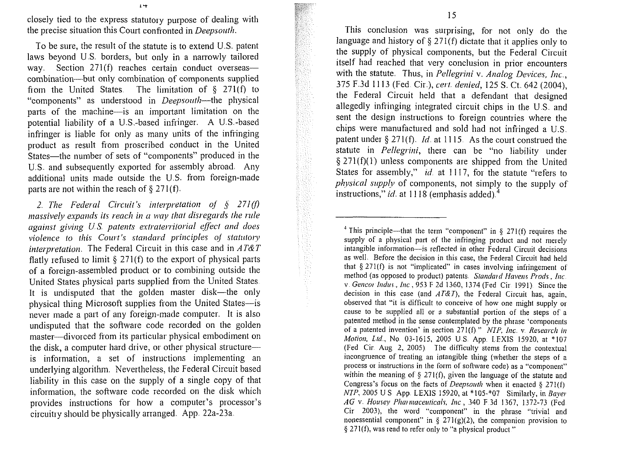closely tied to the express statutory purpose of dealing with the precise situation this Court confronted in Deepsouth.

To be sure, the result of the statute is to extend U.S. patent laws beyond U.S. borders, but only in a narrowly tailored way. Section 271(f) reaches certain conduct overseascombination-but only combination of components supplied from the United States. The limitation of  $\S$  271(f) to "components" as understood in *Deepsouth*—the physical parts of the machine-is an important limitation on the potential liability of a U.S.-based infringer. A U.S.-based infringer is liable for only as many units of the infringing product as result from proscribed conduct in the United States—the number of sets of "components" produced in the U.S. and subsequently exported for assembly abroad. Any additional units made outside the U.S. from foreign-made parts are not within the reach of  $\S 271(f)$ .

2. The Federal Circuit's interpretation of  $\zeta$  271(f) massively expands its reach in a way that disregards the rule against giving U.S. patents extraterritorial effect and does violence to this Court's standard principles of statutory interpretation. The Federal Circuit in this case and in  $AT\&T$ flatly refused to limit  $\S$  271(f) to the export of physical parts of a foreign-assembled product or to combining outside the United States physical parts supplied from the United States. It is undisputed that the golden master disk-the only physical thing Microsoft supplies from the United States-is never made a part of any foreign-made computer. It is also undisputed that the software code recorded on the golden master—divorced from its particular physical embodiment on the disk, a computer hard drive, or other physical structure is information, a set of instructions implementing an underlying algorithm. Nevertheless, the Federal Circuit based liability in this case on the supply of a single copy of that information, the software code recorded on the disk which provides instructions for how a computer's processor's circuitry should be physically arranged. App. 22a-23a.

This conclusion was surprising, for not only do the language and history of  $\S 271(f)$  dictate that it applies only to the supply of physical components, but the Federal Circuit itself had reached that very conclusion in prior encounters with the statute. Thus, in Pellegrini v. Analog Devices, Inc., 375 F.3d 1113 (Fed. Cir.), cert. denied, 125 S. Ct. 642 (2004). the Federal Circuit held that a defendant that designed allegedly infringing integrated circuit chips in the U.S. and sent the design instructions to foreign countries where the chips were manufactured and sold had not infringed a U.S. patent under § 271(f).  $Id$  at 1115. As the court construed the statute in *Pellegrini*, there can be "no liability under  $\S$  271(f)(1) unless components are shipped from the United States for assembly," id. at 1117, for the statute "refers to *physical supply* of components, not simply to the supply of instructions," id. at 1118 (emphasis added).<sup>4</sup>

<sup>&</sup>lt;sup>4</sup> This principle—that the term "component" in § 271(f) requires the supply of a physical part of the infringing product and not merely intangible information-is reflected in other Federal Circuit decisions as well. Before the decision in this case, the Federal Circuit had held that  $\S 271(f)$  is not "implicated" in cases involving infringement of method (as opposed to product) patents. Standard Havens Prods., Inc. v. Gencor Indus., Inc., 953 F 2d 1360, 1374 (Fed. Cir. 1991). Since the decision in this case (and  $AT\&T$ ), the Federal Circuit has, again, observed that "it is difficult to conceive of how one might supply or cause to be supplied all or a substantial portion of the steps of a patented method in the sense contemplated by the phrase 'components of a patented invention' in section 271(f)." NIP, Inc. v. Research in Motion, Ltd., No. 03-1615, 2005 U.S. App. LEXIS 15920, at \*107 (Fed. Cir. Aug. 2, 2005). The difficulty stems from the contextual incongruence of treating an intangible thing (whether the steps of a process or instructions in the form of software code) as a "component" within the meaning of  $\S$  271(f), given the language of the statute and Congress's focus on the facts of *Deepsouth* when it enacted  $\S$  271(f) NTP, 2005 U S App. LEXIS 15920, at \*105-\*07 Similarly, in Baver AG v. Housey Pharmaceuticals, Inc., 340 F.3d 1367, 1372-73 (Fed. Cir 2003), the word "component" in the phrase "trivial and nonessential component" in § 271(g)(2), the companion provision to § 271(f), was read to refer only to "a physical product."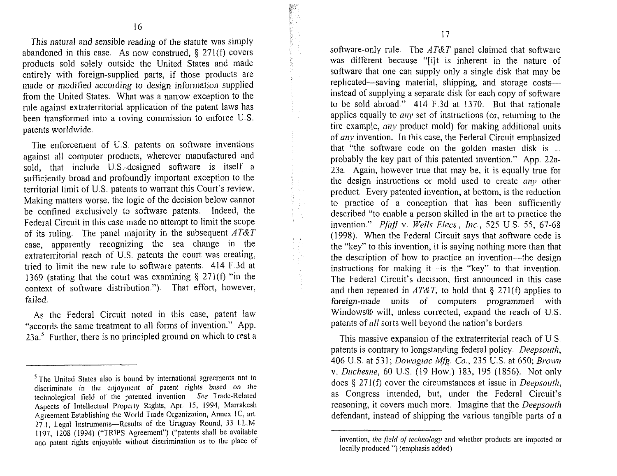*This natural and sensible reading of the statute was simply abandoned in this case. As now construed, 5 271(f) covers products sold solely outside the LJnited States and made entirely with foreign-supplied parts, if those products are made or modified according to design information supplied from the United States. What was a narrow exception to the*  rule against extraterritorial application of the patent laws has *been transformed into a roving commission to enforce U.S. patents worldwide.* 

*The enforcement of U.S. patents on software inventions against all computer products, wherever manufactured and sold, that include U.S.-designed software is itself a sufficiently broad and profoundly important exception to the territorial limit of L1.S. patents to warrant this Court's review. Making matters worse, the logic of the decision below cannot*  be confined exclusively to software patents. Indeed, the Federal Circuit in this case made no attempt to limit the scope *of its ruling The panel majority in the subsequent AT&T*  case, apparently recognizing the sea change in the *extraterritorial reach of U.S patents the court was creating, tried to limit the new rule to software patents. 414 F 3d at*  1369 (stating that the court was examining § 271(f) "in the *context of software distribution."). That effort, however, failed.* 

*As the Federal Circuit noted in this case, patent law "accords the same treatment to all forms of invention." App. 23a.5 Further, there is no principled ground on which to rest a*  software-only rule. The *AT&T* panel claimed that software was different because "[i]t is inherent in the nature of *software that one can supply only a single disk that may be*  replicated—saving material, shipping, and storage costs *instead of supplying a separate disk for each copy of software to be sold abroad." 414 F.3d at 1370. But that rationale applies equally to any set of instructions (or, returning to the tire example, any product mold) for making additional units of any invention. In this case, the Federal Circuit emphasized* that "the software code on the golden master disk is ... *probably the ltey part of this patented invention." App 22a-23a. Again, however true that may be, it is equally true for*  the design instructions or mold used to create *any* other *product.* Every patented invention, at bottom, is the reduction *to practice of a conception that has been sufficiently described "to enable a person skilled in the art to practice the invention." Pfaff v. Wells Elecs, Inc., 525 U.S. 55, 67-68 (1998). When the Federal Circuit says that software code is the "key" to this invention, it is saying nothing more than that the description of how to practice an invention-the design*  instructions for making it—is the "key" to that invention. *The Federal Circuit's decision, first announced in this case and then repeated in AT&T, to hold that 5 271(f) applies to foreign-made units of computers programmed with Windows@ will, unless corrected, expand the reach of U.S.*  patents of *all* sorts well beyond the nation's borders.

*This massive expansion of the extraterritorial reach of US.*  patents is contrary to longstanding federal policy. *Deepsouth*, 406 U.S. at 531; *Dowagiac Mfg. Co.*, 235 U.S. at 650; *Brown v*, *Duchesne*, 60 U.S. (19 How.) 183, 195 (1856). Not only *does § 271(f) cover the circumstances at issue in Deepsouth, as Congress intended, but, under the Federal Circuit's reasoning, it covers much more. Imagine that the Deepsouth defendant, instead of shipping the various tangible parts of a* 

<sup>&</sup>lt;sup>5</sup> The United States also is bound by international agreements not to discriminate in the enjoyment of patent rights based on the technological field of the patented invention. See Trade-Related Aspects of Intellectual Property Rights, Apr. 15, 1994, Marrakesh Agreement Establishing the World Trade Organization, Annex 1C, art. 27 1, Legol Instruments-Results of the Uruguay Round, **33** 1 L M 1197, 1208 (1994) ("TRIPS Agreement") ("patents shall be available and patent rights enjoyable without discrimination as to the place of

invention, *the field of technology* and whether products are imported or locally produced ") (emphasis added)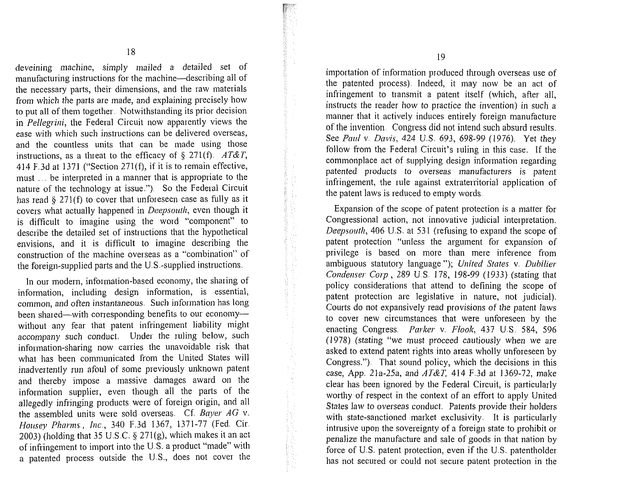*deveining machine, simply mailed a detailed set of manufacturing instructions for the machine—describing all of* the necessary parts, their dimensions, and the raw materials *from which the parts are made, and explaining precisely how*  to put all of them together. Notwithstanding its prior decision *in Pellegrini, the Federal Circuit now apparently views the ease with which such instructions can be delivered overseas,*  and the countless units that can be made using those instructions, as a threat to the efficacy of  $\S$  271(f). AT&T, *414 F.3d at 1371 ("Section 271(f), if it is to remain effective, must* ... be interpreted in a manner that is appropriate to the *nature of the technology at issue.")* So the Federal Circuit *has read 5 271(f) to cover that unforeseen case as fully as it covers what actually happened in Deepsouth, even though it is difficult to imagine using the word "component" to describe the detailed set of instructions that the hypothetical* envisions, and it is difficult to imagine describing the construction of the machine overseas as a "combination" of *the foreign-supplied parts and the U.S.-supplied instructions.* 

In our modern, information-based economy, the sharing of *information, including design information, is essential, common, and often instantaneous. Such information has long* been shared—with corresponding benefits to our economy without any fear that patent infringement liability might *accompany such conduct. Under the ruling below, such*  information-sharing now carries the unavoidable risk that what has been communicated from the United States will *inadvertently run afoul of some previously unknown patent and thereby impose a massive damages award on the information supplier, even though all the parts of the allegedly infringing products were of foreign origin, and all*  the assembled units were sold overseas. Cf. Bayer AG v. *Housey Pharms., Inc., 340 F.3d 1367, 1371-77 (Fed. Cir. 2003) (holding that 35 U.S.C.* **jj** *271(g), which maltes it an act of infringement to import into the U.S. a product "made" with a* patented process outside the U.S., does not cover the

*importation of information produced through overseas use of the patented process). Indeed, it may now be an act of*  infringement to transmit a patent itself (which, after all, *instructs the reader how to practice the invention) in such a* manner that it actively induces entirely foreign manufacture *of the invention Congress did not intend such absurd results. See Paul v. Davis, 424 U.S. 693, 698-99 (1976). Yet they follow from the Federal Circuit's ruling in this case. If the commonplace act of supplying design inforination regarding patented products to overseas ~nanufacturers is patent infringement, the rule against extraterritorial application of the patent laws is reduced to empty words.* 

Expansion of the scope of patent protection is a matter for *Congressional action, not innovative judicial interpretation. Deepsouth, 406 U.S. at 531 (refusing to expand the scope of patent protection "unless the argument for expansion of privilege is based 011 more than mere inference from ambiguous statutory language."); United States v. Dubilier Condenser Corp., 289 U.S. 178, 198-99 (1933) (stating that policy considerations that attend to defining the scope of patent protection are legislative in nature, not judicial). Courts do not expansively read provisions of tlie patent laws to cover new circumstances that were unforeseen by the*  enacting Congress *Parker v. Flook*, 437 U.S. 584, 596 *(1978) (stating "we must proceed cautiously when we are asked to extend patent rights into areas wholly unforeseen by Congress.").* That sound policy, which the decisions in this *case, App. 21a-25a, and .4T&T, 414 F.3d at 1369-72, make clear has been ignored by the Federal Circuit, is particularly worthy of respect in the context of an effort to apply United*  States law to overseas conduct. Patents provide their holders with state-sanctioned market exclusivity. It is particularly *intrusive upon the sovereignty of a foreign state to prohibit or penalize the manufacture and sale of goods in that nation by force of US. patent protection, even if the U.S. patentholder*  has not secured or could not secure patent protection in the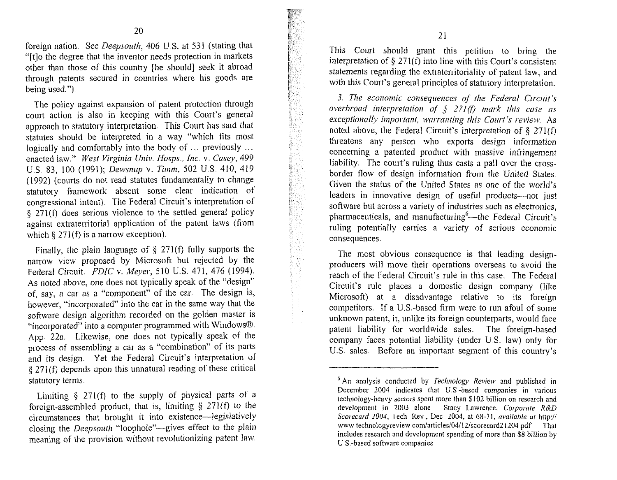foreign nation. See *Deepsouth*, 406 U.S. at 531 (stating that "Itlo the degree that the inventor needs protection in markets other than those of this country [he should] seek it abroad through patents secured in countries where his goods are being used.").

The policy against expansion of patent protection through court action is also in keeping with this Court's general approach to statutory interpretation. This Court has said that statutes should be interpreted in a way "which fits most logically and comfortably into the body of  $\ldots$  previously  $\ldots$ enacted law." West Virginia Univ. Hosps., Inc. v. Casey, 499 U.S. 83, 100 (1991); Dewsnup v. Timm, 502 U.S. 410, 419  $(1992)$  (courts do not read statutes fundamentally to change statutory framework absent some clear indication of congressional intent). The Federal Circuit's interpretation of § 271(f) does serious violence to the settled general policy against extraterritorial application of the patent laws (from which  $\S 271(f)$  is a narrow exception).

Finally, the plain language of § 271(f) fully supports the narrow view proposed by Microsoft but rejected by the Federal Circuit. FDIC v. Meyer, 510 U.S. 471, 476 (1994). As noted above, one does not typically speak of the "design" of, say, a car as a "component" of the car. The design is, however, "incorporated" into the car in the same way that the software design algorithm recorded on the golden master is "incorporated" into a computer programmed with Windows@. App. 22a. Likewise, one does not typically speak of the process of assembling a car as a "combination" of its parts and its design. Yet the Federal Circuit's interpretation of  $\S 271(f)$  depends upon this unnatural reading of these critical statutory terms.

This Court should grant this petition to bring the interpretation of  $\S$  271(f) into line with this Court's consistent statements regarding the extraterritoriality of patent law, and with this Court's general principles of statutory interpretation.

3. The economic consequences of the Federal Circuit's overbroad interpretation of § 271(f) mark this case as exceptionally important, warranting this Court's review. As noted above, the Federal Circuit's interpretation of  $\S$  271(f) threatens any person who exports design information concerning a patented product with massive infringement liability. The court's ruling thus casts a pall over the crossborder flow of design information from the United States. Given the status of the United States as one of the world's leaders in innovative design of useful products-not just software but across a variety of industries such as electronics, pharmaceuticals, and manufacturing  $6$ —the Federal Circuit's ruling potentially carries a variety of serious economic consequences

The most obvious consequence is that leading designproducers will move their operations overseas to avoid the reach of the Federal Circuit's rule in this case. The Federal Circuit's rule places a domestic design company (like Microsoft) at a disadvantage relative to its foreign competitors. If a US.-based firm were to run afoul of some unknown patent, it, unlike its foreign counterparts, would face patent liability for worldwide sales. The foreign-based company faces potential liability (under US. law) only for U.S. sales. Before an important segment of this country's

Limiting **3** 271(f) to the supply of physical parts of a foreign-assembled product, that is, limiting  $\S$  271(f) to the circumstances that brought it into existence-legislatively closing the Deepsouth "loophole"-gives effect to the plain meaning of the provision without revolutionizing patent law

 $6$  An analysis conducted by *Technology Review* and published in December 2004 indicates that US -based companies in various technology-heavy sectors spent more than \$102 billion on research and development in ZOO3 alone Stacy Lawrence, Corporate **R&D**  Scorecard 2004, Tech Rev , Dec 2004, at 68-71, available at http:// www technologyreview com/articles/04/12/scorecard21204 pdf That includes research and development spending of more than \$8 billion by US -based software conipanies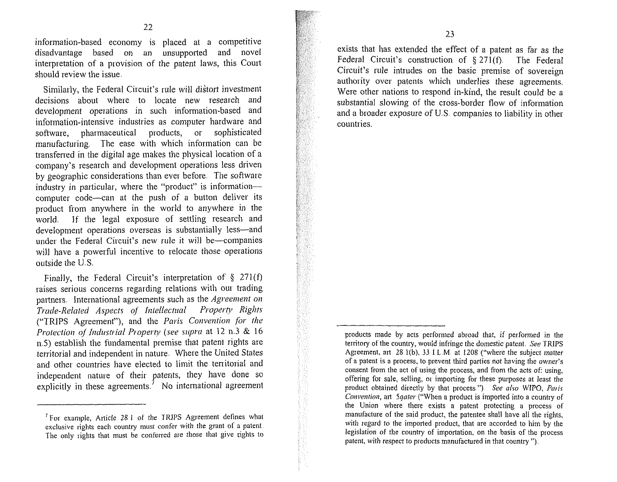information-based economy is placed at a competitive disadvantage based on an unsupported and novel interpretation of a provision of the patent laws, this Court should review the issue.

Similarly, the Federal Circuit's rule will distort investment decisions about where to locate new research and development operations in such information-based and information-intensive industries as computer hardware and software, pharmaceutical products, or sophisticated manufacturing. The ease with which information can be transferred in the digital age makes the physical location of a company's research and development operations less driven by geographic considerations than ever before. The software industry in particular, where the "product" is informationcomputer code-can at the push of a button deliver its product from anywhere in the world to anywhere in the world. If the legal exposure of settling research and development operations overseas is substantially less-and under the Federal Circuit's new rule it will be-companies will have a powerful incentive to relocate those operations outside the U.S.

Finally, the Federal Circuit's interpretation of  $\S$  271(f) raises serious concerns regarding relations with our trading partners. International agreements such as the Agreement on Trade-Related Aspects of Intellectual Property Rights ("TRIPS Agreement"), and the Paris Convention for the Protection of *Industrial Property* (see supra at 12 n.3 & 16  $n.5$ ) establish the fundamental premise that patent rights are territorial and independent in nature. Where the United States and other countries have elected to limit the territorial and independent nature of their patents, they have done so explicitly in these agreements.<sup> $7$ </sup> No international agreement

exists that has extended the effect of a patent as far as the Federal Circuit's construction of  $$271(f)$ . The Federal Circuit's rule intrudes on the basic premise of sovereign authority over patents which underlies these agreements. Were other nations to respond in-kind, the result could be a substantial slowing of the cross-border flow of information and a broader exposure of U.S. companies to liability in other countries

 $<sup>7</sup>$  For example, Article 28.1 of the TRIPS Agreement defines what</sup> exclusive rights each country must confer with the grant of a patent. The only rights that must be conferred are those that give rights to

products made by acts performed abroad that, if performed in the territory of the country, would infringe the domestic patent. *See TRIPS* Agreement, art 28 l(b), **33 1** L. M at I208 ("where tlie subject matter of a patent is a process, to prevent third parties not having the owner's consent from the act of using the process, and from the acts of: using, offering for sale, selling, or importing for these purposes at least the product obtained directly by that process ") See also WIPO, **Paris**  Convention, art 5qater ("When a product is imported into a country of the Union where there exists a patent protecting a process of manufacture of the said product, the patentee shall have all the rights, with regard to the imported product, that are accorded to him by the legislation of the country of importation, on the basis of the process patent, with respect to products manufactured in that country  $"$ ).